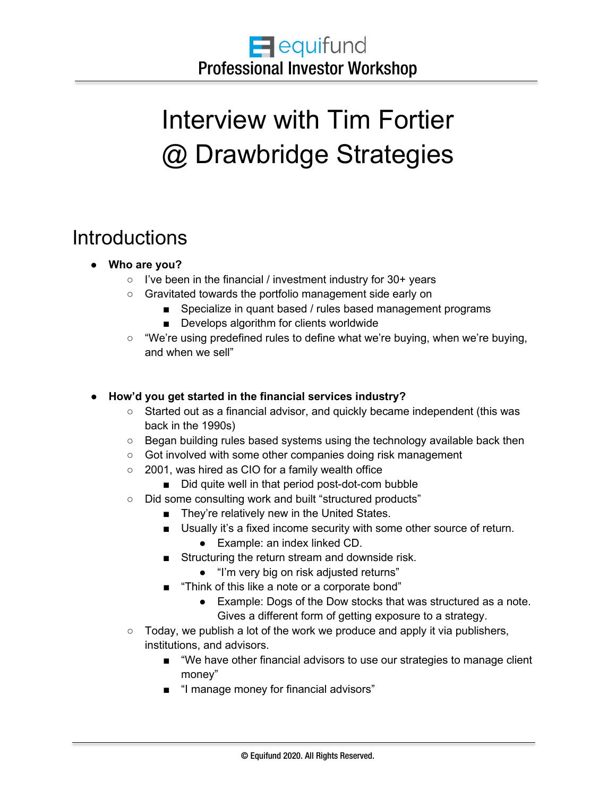# Interview with Tim Fortier @ Drawbridge Strategies

## **Introductions**

#### ● **Who are you?**

- I've been in the financial / investment industry for 30+ years
- Gravitated towards the portfolio management side early on
	- Specialize in quant based / rules based management programs
	- Develops algorithm for clients worldwide
- "We're using predefined rules to define what we're buying, when we're buying, and when we sell"

#### ● **How'd you get started in the financial services industry?**

- Started out as a financial advisor, and quickly became independent (this was back in the 1990s)
- Began building rules based systems using the technology available back then
- Got involved with some other companies doing risk management
- 2001, was hired as CIO for a family wealth office
	- Did quite well in that period post-dot-com bubble
- Did some consulting work and built "structured products"
	- They're relatively new in the United States.
	- Usually it's a fixed income security with some other source of return.
		- Example: an index linked CD.
	- Structuring the return stream and downside risk.
		- "I'm very big on risk adjusted returns"
	- "Think of this like a note or a corporate bond"
		- Example: Dogs of the Dow stocks that was structured as a note. Gives a different form of getting exposure to a strategy.
- Today, we publish a lot of the work we produce and apply it via publishers, institutions, and advisors.
	- "We have other financial advisors to use our strategies to manage client money"
	- "I manage money for financial advisors"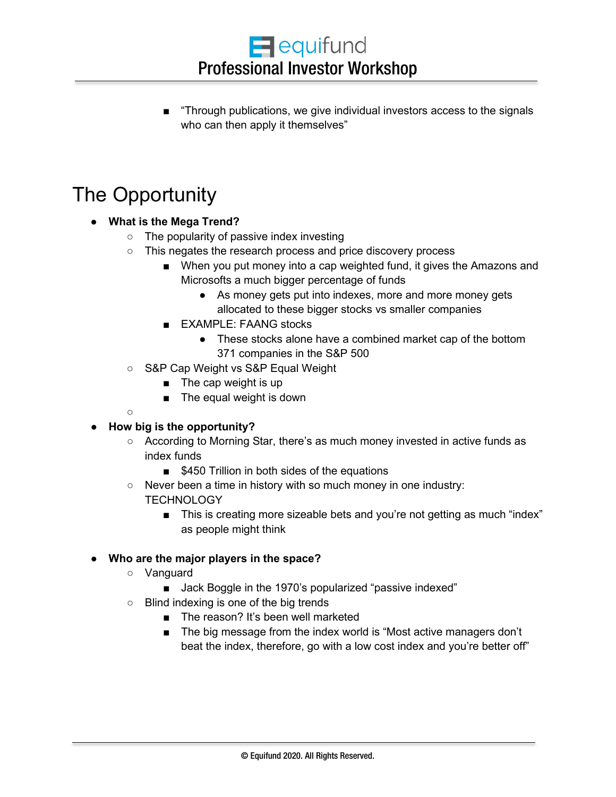■ "Through publications, we give individual investors access to the signals who can then apply it themselves"

# The Opportunity

- **What is the Mega Trend?**
	- The popularity of passive index investing
	- This negates the research process and price discovery process
		- When you put money into a cap weighted fund, it gives the Amazons and Microsofts a much bigger percentage of funds
			- As money gets put into indexes, more and more money gets allocated to these bigger stocks vs smaller companies
		- EXAMPLE: FAANG stocks
			- These stocks alone have a combined market cap of the bottom 371 companies in the S&P 500
	- S&P Cap Weight vs S&P Equal Weight
		- The cap weight is up
		- The equal weight is down
	- $\circ$

#### ● **How big is the opportunity?**

- According to Morning Star, there's as much money invested in active funds as index funds
	- \$450 Trillion in both sides of the equations
- Never been a time in history with so much money in one industry: **TECHNOLOGY** 
	- This is creating more sizeable bets and you're not getting as much "index" as people might think

#### ● **Who are the major players in the space?**

- Vanguard
	- Jack Boggle in the 1970's popularized "passive indexed"
- Blind indexing is one of the big trends
	- The reason? It's been well marketed
	- The big message from the index world is "Most active managers don't beat the index, therefore, go with a low cost index and you're better off"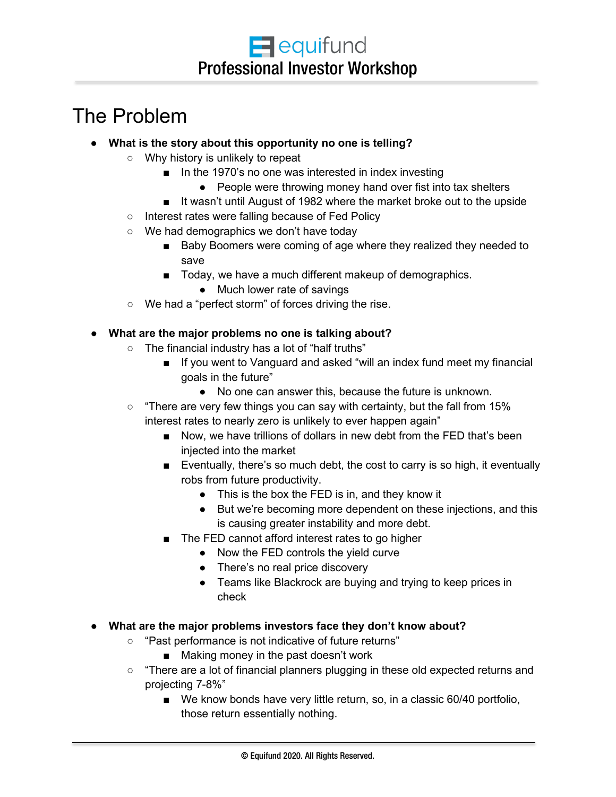# The Problem

- **What is the story about this opportunity no one is telling?**
	- Why history is unlikely to repeat
		- In the 1970's no one was interested in index investing
			- People were throwing money hand over fist into tax shelters
		- It wasn't until August of 1982 where the market broke out to the upside
	- Interest rates were falling because of Fed Policy
	- We had demographics we don't have today
		- Baby Boomers were coming of age where they realized they needed to save
		- Today, we have a much different makeup of demographics.
			- Much lower rate of savings
	- We had a "perfect storm" of forces driving the rise.

#### ● **What are the major problems no one is talking about?**

- The financial industry has a lot of "half truths"
	- If you went to Vanguard and asked "will an index fund meet my financial goals in the future"
		- No one can answer this, because the future is unknown.
- $\circ$  "There are very few things you can say with certainty, but the fall from 15% interest rates to nearly zero is unlikely to ever happen again"
	- Now, we have trillions of dollars in new debt from the FED that's been injected into the market
	- Eventually, there's so much debt, the cost to carry is so high, it eventually robs from future productivity.
		- This is the box the FED is in, and they know it
		- But we're becoming more dependent on these injections, and this is causing greater instability and more debt.
	- The FED cannot afford interest rates to go higher
		- Now the FED controls the yield curve
		- There's no real price discovery
		- Teams like Blackrock are buying and trying to keep prices in check
- **What are the major problems investors face they don't know about?**
	- "Past performance is not indicative of future returns"
		- Making money in the past doesn't work
	- "There are a lot of financial planners plugging in these old expected returns and projecting 7-8%"
		- We know bonds have very little return, so, in a classic 60/40 portfolio, those return essentially nothing.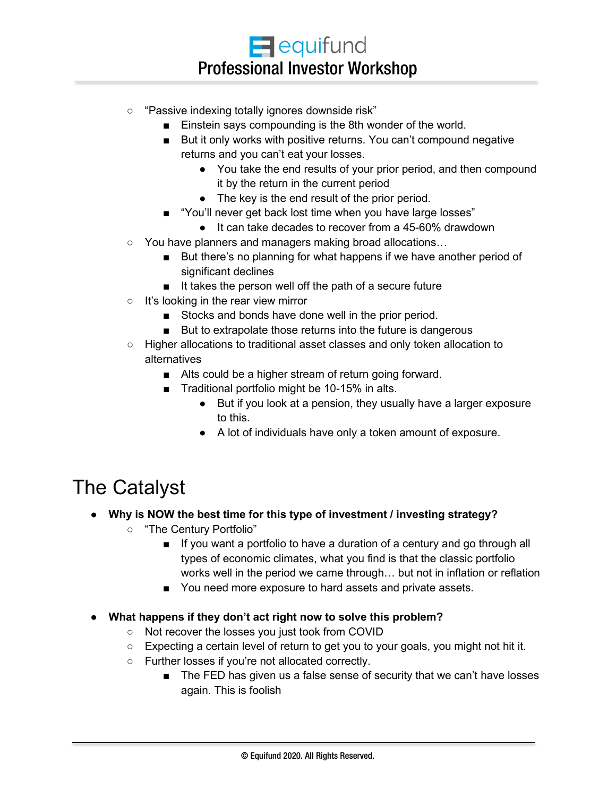- "Passive indexing totally ignores downside risk"
	- Einstein says compounding is the 8th wonder of the world.
	- But it only works with positive returns. You can't compound negative returns and you can't eat your losses.
		- You take the end results of your prior period, and then compound it by the return in the current period
		- The key is the end result of the prior period.
	- "You'll never get back lost time when you have large losses"
		- It can take decades to recover from a 45-60% drawdown
- You have planners and managers making broad allocations...
	- But there's no planning for what happens if we have another period of significant declines
	- It takes the person well off the path of a secure future
- It's looking in the rear view mirror
	- Stocks and bonds have done well in the prior period.
	- But to extrapolate those returns into the future is dangerous
- Higher allocations to traditional asset classes and only token allocation to alternatives
	- Alts could be a higher stream of return going forward.
	- Traditional portfolio might be 10-15% in alts.
		- But if you look at a pension, they usually have a larger exposure to this.
		- A lot of individuals have only a token amount of exposure.

### The Catalyst

#### ● **Why is NOW the best time for this type of investment / investing strategy?**

- "The Century Portfolio"
	- If you want a portfolio to have a duration of a century and go through all types of economic climates, what you find is that the classic portfolio works well in the period we came through… but not in inflation or reflation
	- You need more exposure to hard assets and private assets.
- **What happens if they don't act right now to solve this problem?**
	- Not recover the losses you just took from COVID
	- $\circ$  Expecting a certain level of return to get you to your goals, you might not hit it.
	- Further losses if you're not allocated correctly.
		- The FED has given us a false sense of security that we can't have losses again. This is foolish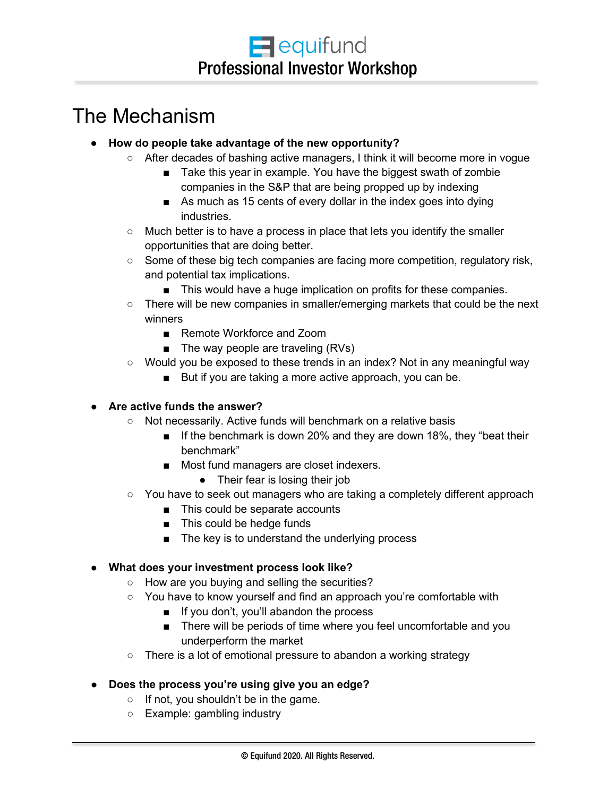### The Mechanism

- **How do people take advantage of the new opportunity?**
	- After decades of bashing active managers, I think it will become more in vogue
		- Take this year in example. You have the biggest swath of zombie companies in the S&P that are being propped up by indexing
		- As much as 15 cents of every dollar in the index goes into dying industries.
		- Much better is to have a process in place that lets you identify the smaller opportunities that are doing better.
	- Some of these big tech companies are facing more competition, regulatory risk, and potential tax implications.
		- This would have a huge implication on profits for these companies.
	- There will be new companies in smaller/emerging markets that could be the next winners
		- Remote Workforce and Zoom
		- The way people are traveling (RVs)
	- Would you be exposed to these trends in an index? Not in any meaningful way
		- But if you are taking a more active approach, you can be.

#### ● **Are active funds the answer?**

- Not necessarily. Active funds will benchmark on a relative basis
	- If the benchmark is down 20% and they are down 18%, they "beat their benchmark"
	- Most fund managers are closet indexers.
		- Their fear is losing their job
- You have to seek out managers who are taking a completely different approach
	- This could be separate accounts
	- This could be hedge funds
	- The key is to understand the underlying process

#### ● **What does your investment process look like?**

- How are you buying and selling the securities?
- You have to know yourself and find an approach you're comfortable with
	- If you don't, you'll abandon the process
	- There will be periods of time where you feel uncomfortable and you underperform the market
- There is a lot of emotional pressure to abandon a working strategy

#### ● **Does the process you're using give you an edge?**

- If not, you shouldn't be in the game.
- Example: gambling industry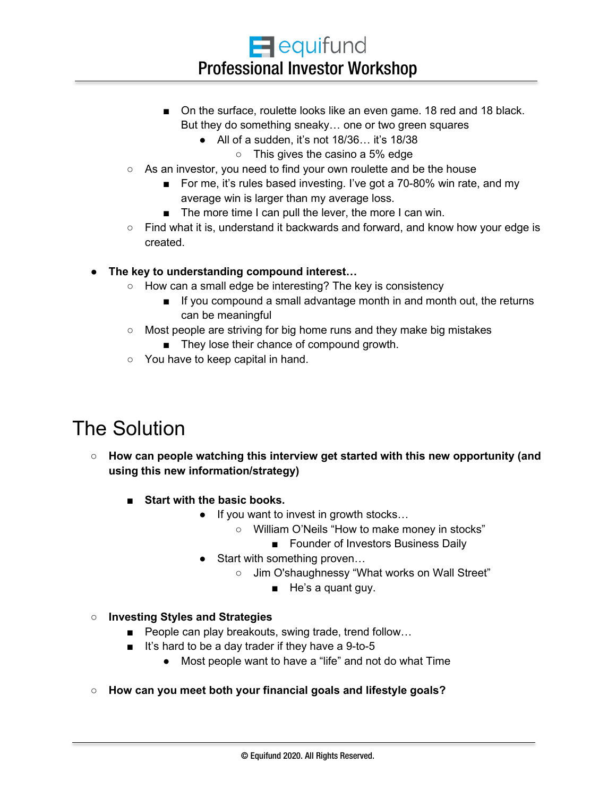- On the surface, roulette looks like an even game. 18 red and 18 black. But they do something sneaky… one or two green squares
	- All of a sudden, it's not 18/36… it's 18/38
		- $\circ$  This gives the casino a 5% edge
- As an investor, you need to find your own roulette and be the house
	- For me, it's rules based investing. I've got a 70-80% win rate, and my average win is larger than my average loss.
	- The more time I can pull the lever, the more I can win.
- $\circ$  Find what it is, understand it backwards and forward, and know how your edge is created.

● **The key to understanding compound interest…**

- How can a small edge be interesting? The key is consistency
	- If you compound a small advantage month in and month out, the returns can be meaningful
- Most people are striving for big home runs and they make big mistakes
	- They lose their chance of compound growth.
- You have to keep capital in hand.

# The Solution

- **How can people watching this interview get started with this new opportunity (and using this new information/strategy)**
	- Start with the basic books.
		- If you want to invest in growth stocks…
			- William O'Neils "How to make money in stocks"
				- Founder of Investors Business Daily
		- Start with something proven...
			- o Jim O'shaughnessy "What works on Wall Street"
				- He's a quant guy.

#### ○ **Investing Styles and Strategies**

- People can play breakouts, swing trade, trend follow...
- It's hard to be a day trader if they have a 9-to-5
	- Most people want to have a "life" and not do what Time
- **How can you meet both your financial goals and lifestyle goals?**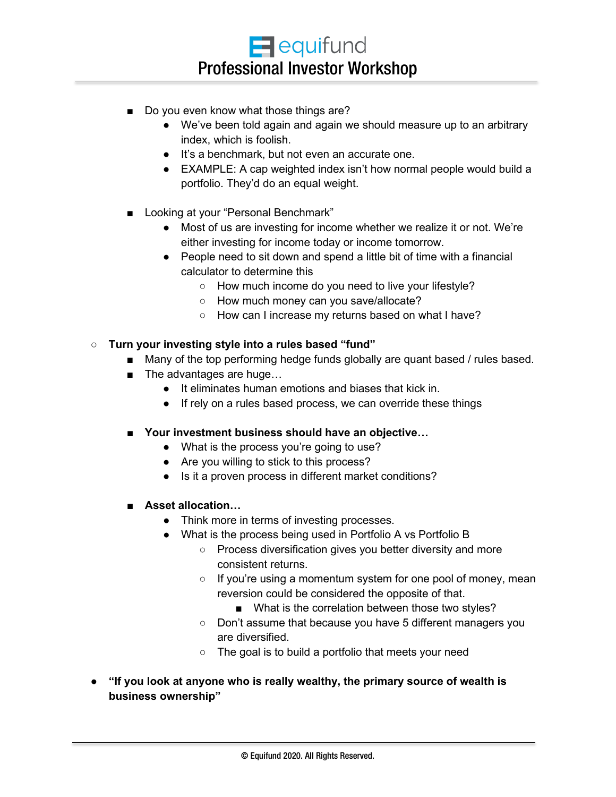- Do you even know what those things are?
	- We've been told again and again we should measure up to an arbitrary index, which is foolish.
	- It's a benchmark, but not even an accurate one.
	- EXAMPLE: A cap weighted index isn't how normal people would build a portfolio. They'd do an equal weight.
- Looking at your "Personal Benchmark"
	- Most of us are investing for income whether we realize it or not. We're either investing for income today or income tomorrow.
	- People need to sit down and spend a little bit of time with a financial calculator to determine this
		- How much income do you need to live your lifestyle?
		- How much money can you save/allocate?
		- How can I increase my returns based on what I have?

#### ○ **Turn your investing style into a rules based "fund"**

- Many of the top performing hedge funds globally are quant based / rules based.
- The advantages are huge...
	- It eliminates human emotions and biases that kick in.
	- If rely on a rules based process, we can override these things
- Your investment business should have an objective...
	- What is the process you're going to use?
	- Are you willing to stick to this process?
	- Is it a proven process in different market conditions?
- **Asset allocation...** 
	- Think more in terms of investing processes.
	- What is the process being used in Portfolio A vs Portfolio B
		- Process diversification gives you better diversity and more consistent returns.
		- If you're using a momentum system for one pool of money, mean reversion could be considered the opposite of that.
			- What is the correlation between those two styles?
		- Don't assume that because you have 5 different managers you are diversified.
		- The goal is to build a portfolio that meets your need
- **"If you look at anyone who is really wealthy, the primary source of wealth is business ownership"**